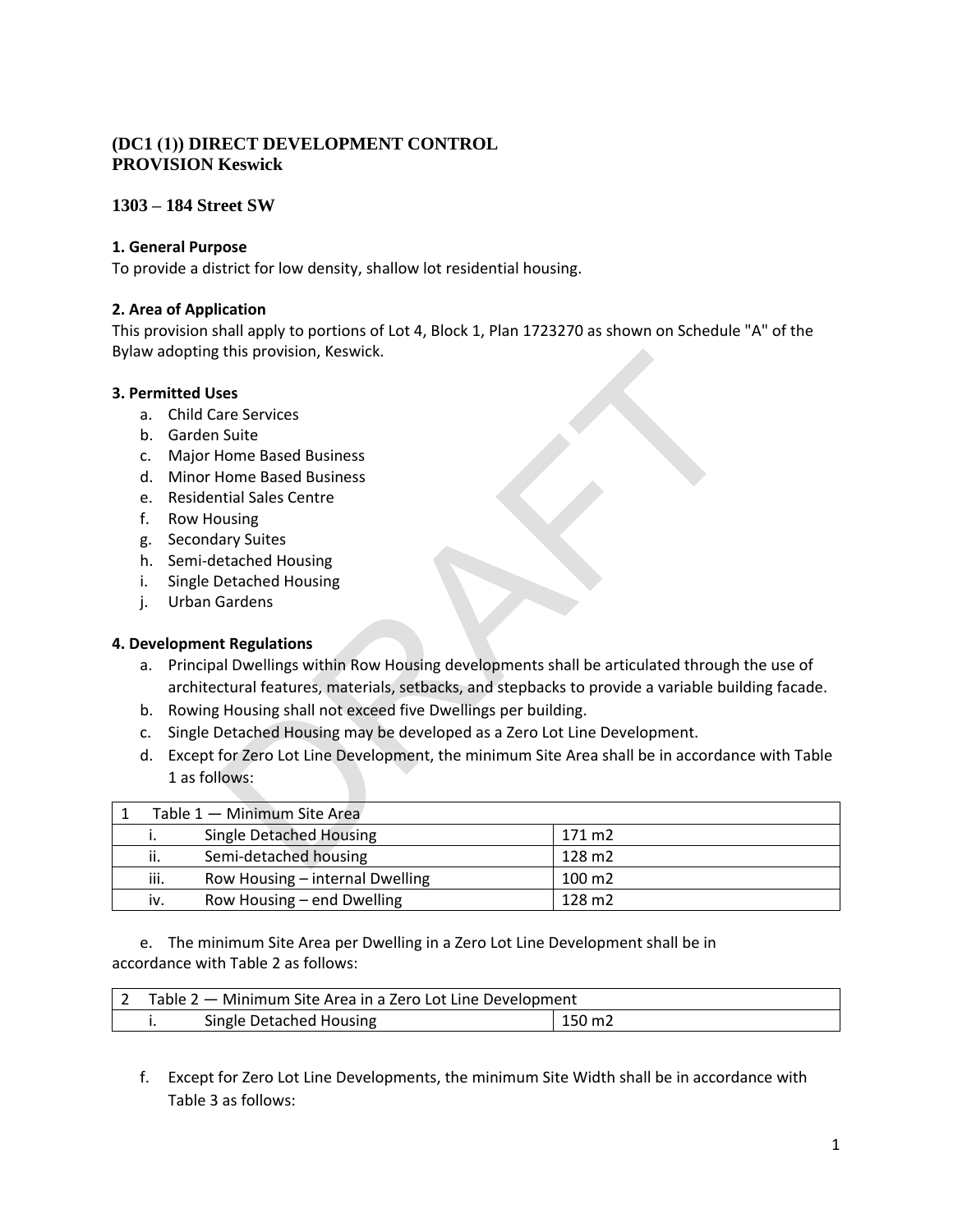# **(DC1 (1)) DIRECT DEVELOPMENT CONTROL PROVISION Keswick**

## **1303 – 184 Street SW**

#### **1. General Purpose**

To provide a district for low density, shallow lot residential housing.

### **2. Area of Application**

This provision shall apply to portions of Lot 4, Block 1, Plan 1723270 as shown on Schedule "A" of the Bylaw adopting this provision, Keswick.

### **3. Permitted Uses**

- a. Child Care Services
- b. Garden Suite
- c. Major Home Based Business
- d. Minor Home Based Business
- e. Residential Sales Centre
- f. Row Housing
- g. Secondary Suites
- h. Semi-detached Housing
- i. Single Detached Housing
- j. Urban Gardens

#### **4. Development Regulations**

- a. Principal Dwellings within Row Housing developments shall be articulated through the use of architectural features, materials, setbacks, and stepbacks to provide a variable building facade.
- b. Rowing Housing shall not exceed five Dwellings per building.
- c. Single Detached Housing may be developed as a Zero Lot Line Development.
- d. Except for Zero Lot Line Development, the minimum Site Area shall be in accordance with Table 1 as follows:

| Bylaw adopting this provision, Keswick. |         |                                                                                                   |        |  |  |  |
|-----------------------------------------|---------|---------------------------------------------------------------------------------------------------|--------|--|--|--|
| <b>3. Permitted Uses</b>                |         |                                                                                                   |        |  |  |  |
|                                         | a.      | <b>Child Care Services</b>                                                                        |        |  |  |  |
|                                         | b.      | <b>Garden Suite</b>                                                                               |        |  |  |  |
|                                         | C.      | <b>Major Home Based Business</b>                                                                  |        |  |  |  |
|                                         | d.      | <b>Minor Home Based Business</b>                                                                  |        |  |  |  |
|                                         | $e_{1}$ | <b>Residential Sales Centre</b>                                                                   |        |  |  |  |
| f.                                      |         | <b>Row Housing</b>                                                                                |        |  |  |  |
|                                         | g.      | <b>Secondary Suites</b>                                                                           |        |  |  |  |
|                                         | h.      | Semi-detached Housing                                                                             |        |  |  |  |
| i.                                      |         | <b>Single Detached Housing</b>                                                                    |        |  |  |  |
| j.                                      |         | <b>Urban Gardens</b>                                                                              |        |  |  |  |
|                                         |         |                                                                                                   |        |  |  |  |
|                                         |         | 4. Development Regulations                                                                        |        |  |  |  |
|                                         | а.      | Principal Dwellings within Row Housing developments shall be articulated through the use of       |        |  |  |  |
|                                         |         | architectural features, materials, setbacks, and stepbacks to provide a variable building facade. |        |  |  |  |
|                                         | b.      | Rowing Housing shall not exceed five Dwellings per building.                                      |        |  |  |  |
|                                         | c.      | Single Detached Housing may be developed as a Zero Lot Line Development.                          |        |  |  |  |
|                                         | d.      | Except for Zero Lot Line Development, the minimum Site Area shall be in accordance with Table     |        |  |  |  |
|                                         |         | 1 as follows:                                                                                     |        |  |  |  |
|                                         |         |                                                                                                   |        |  |  |  |
| $\mathbf{1}$                            |         | Table 1 - Minimum Site Area                                                                       |        |  |  |  |
|                                         | i.      | <b>Single Detached Housing</b>                                                                    | 171 m2 |  |  |  |
|                                         | ii.     | Semi-detached housing                                                                             | 128 m2 |  |  |  |
|                                         | iii.    | Row Housing - internal Dwelling                                                                   | 100 m2 |  |  |  |
|                                         | iv.     | Row Housing - end Dwelling                                                                        | 128 m2 |  |  |  |

e. The minimum Site Area per Dwelling in a Zero Lot Line Development shall be in accordance with Table 2 as follows:

| Table 2 – Minimum Site Area in a Zero Lot Line Development |                         |                 |  |
|------------------------------------------------------------|-------------------------|-----------------|--|
|                                                            | Single Detached Housing | $150 \text{ m}$ |  |

f. Except for Zero Lot Line Developments, the minimum Site Width shall be in accordance with Table 3 as follows: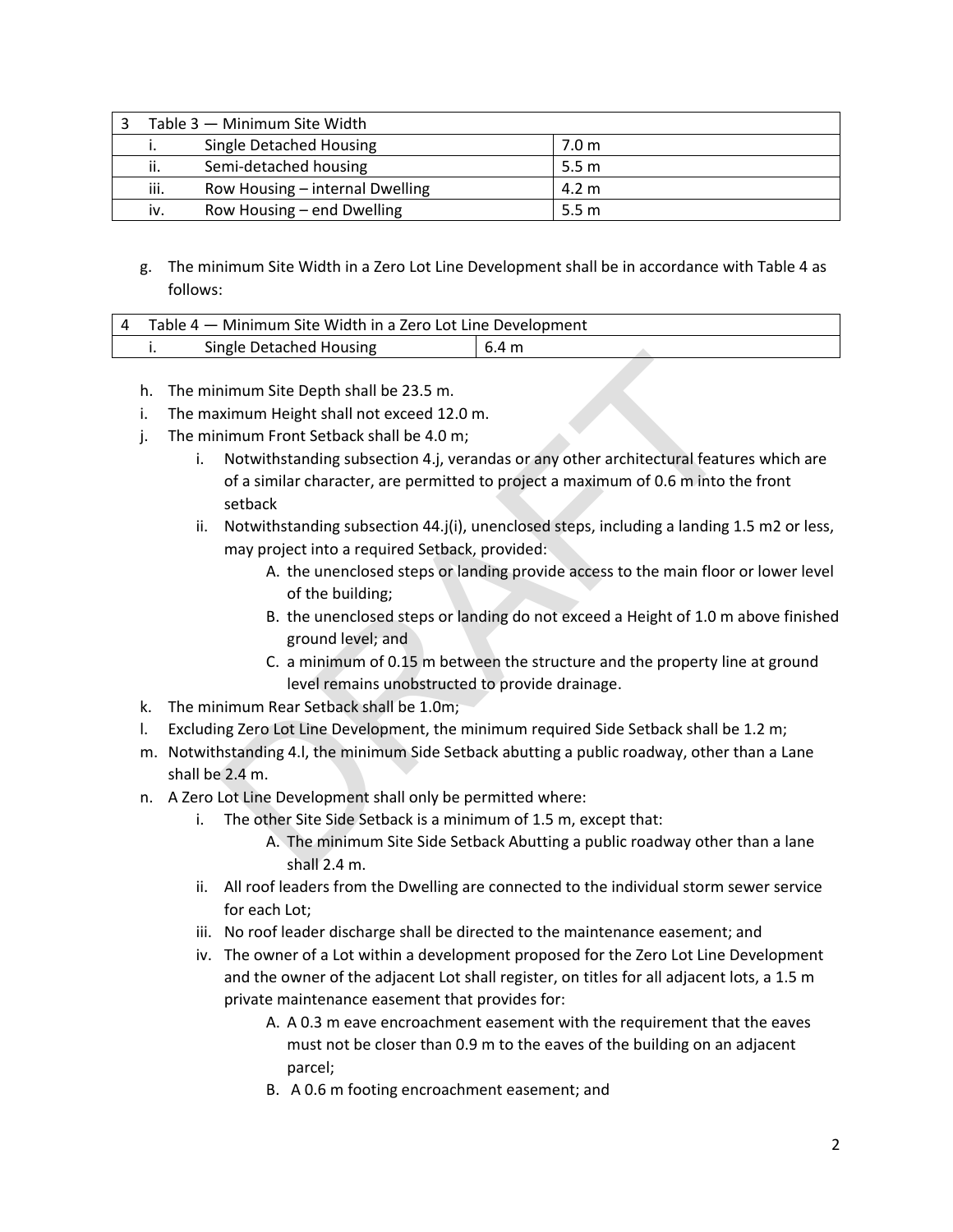| Table 3 - Minimum Site Width |                                 |                 |  |
|------------------------------|---------------------------------|-----------------|--|
| ٠.                           | Single Detached Housing         | 7.0 m           |  |
| ii.                          | Semi-detached housing           | 5.5 m           |  |
| iii.                         | Row Housing – internal Dwelling | $4.2 \text{ m}$ |  |
| iv.                          | Row Housing – end Dwelling      | 5.5 m           |  |

g. The minimum Site Width in a Zero Lot Line Development shall be in accordance with Table 4 as follows:

| Table 4 – Minimum Site Width in a Zero Lot Line Development |                         |       |  |  |
|-------------------------------------------------------------|-------------------------|-------|--|--|
|                                                             | Single Detached Housing | 6.4 m |  |  |

- h. The minimum Site Depth shall be 23.5 m.
- i. The maximum Height shall not exceed 12.0 m.
- j. The minimum Front Setback shall be 4.0 m;
- i. Notwithstanding subsection 4.j, verandas or any other architectural features which are of a similar character, are permitted to project a maximum of 0.6 m into the front setback nimum Site Depth shall be 23.5 m.<br>
inimum Fight shall not exceed 12.0 m.<br>
Niximum Height shall not exceed 12.0 m.<br>
Notwithstanding subsection 4.j, verandas or any other architectural featur<br>
Notwithstanding subsection 4.j,
	- ii. Notwithstanding subsection 44.j(i), unenclosed steps, including a landing 1.5 m2 or less, may project into a required Setback, provided:
		- A. the unenclosed steps or landing provide access to the main floor or lower level of the building;
		- B. the unenclosed steps or landing do not exceed a Height of 1.0 m above finished ground level; and
		- C. a minimum of 0.15 m between the structure and the property line at ground level remains unobstructed to provide drainage.
- k. The minimum Rear Setback shall be 1.0m;
- l. Excluding Zero Lot Line Development, the minimum required Side Setback shall be 1.2 m;
- m. Notwithstanding 4.l, the minimum Side Setback abutting a public roadway, other than a Lane shall be 2.4 m.
- n. A Zero Lot Line Development shall only be permitted where:
	- i. The other Site Side Setback is a minimum of 1.5 m, except that:
		- A. The minimum Site Side Setback Abutting a public roadway other than a lane shall 2.4 m.
	- ii. All roof leaders from the Dwelling are connected to the individual storm sewer service for each Lot;
	- iii. No roof leader discharge shall be directed to the maintenance easement; and
	- iv. The owner of a Lot within a development proposed for the Zero Lot Line Development and the owner of the adjacent Lot shall register, on titles for all adjacent lots, a 1.5 m private maintenance easement that provides for:
		- A. A 0.3 m eave encroachment easement with the requirement that the eaves must not be closer than 0.9 m to the eaves of the building on an adjacent parcel;
		- B. A 0.6 m footing encroachment easement; and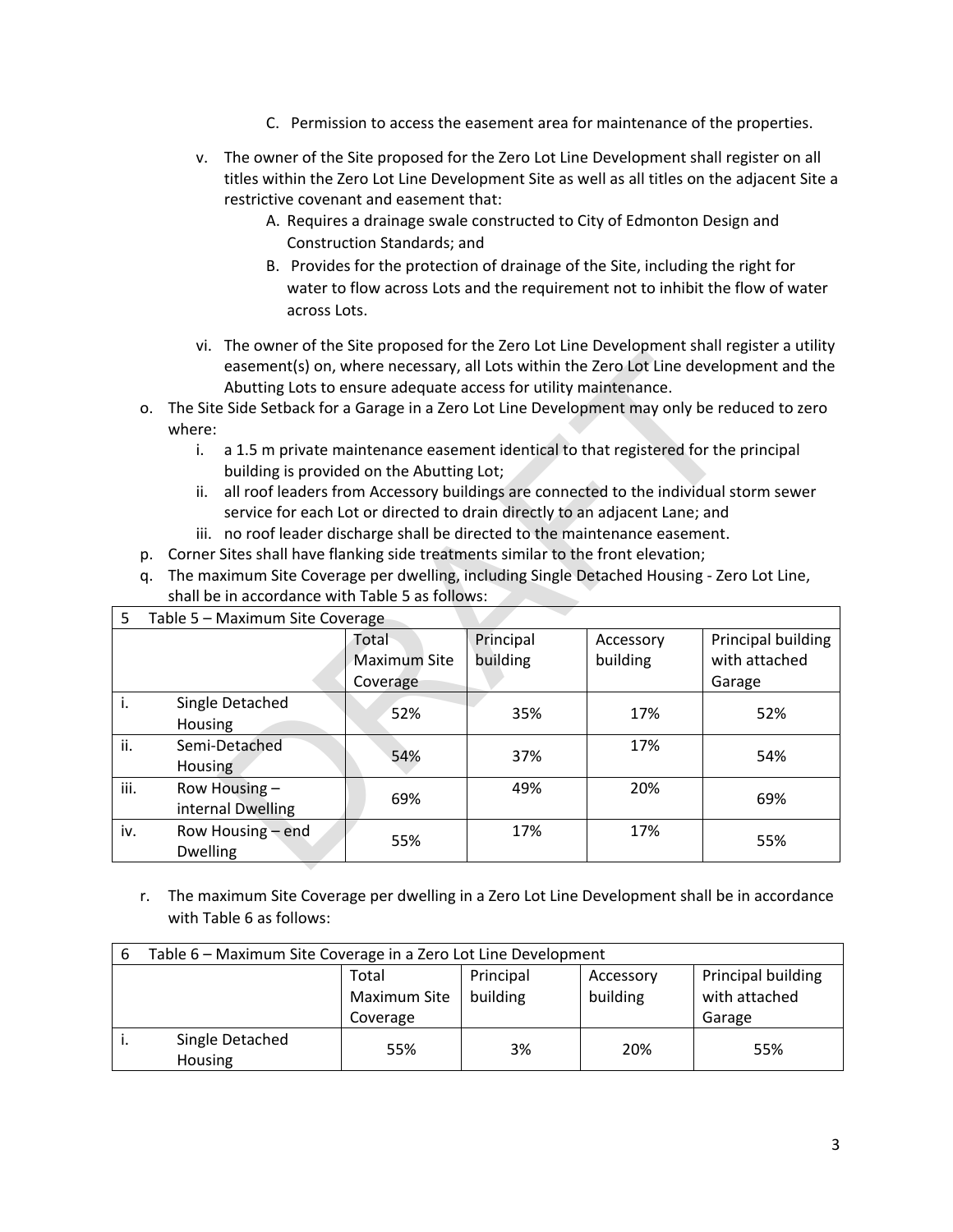- C. Permission to access the easement area for maintenance of the properties.
- v. The owner of the Site proposed for the Zero Lot Line Development shall register on all titles within the Zero Lot Line Development Site as well as all titles on the adjacent Site a restrictive covenant and easement that:
	- A. Requires a drainage swale constructed to City of Edmonton Design and Construction Standards; and
	- B. Provides for the protection of drainage of the Site, including the right for water to flow across Lots and the requirement not to inhibit the flow of water across Lots.
- vi. The owner of the Site proposed for the Zero Lot Line Development shall register a utility easement(s) on, where necessary, all Lots within the Zero Lot Line development and the Abutting Lots to ensure adequate access for utility maintenance.
- o. The Site Side Setback for a Garage in a Zero Lot Line Development may only be reduced to zero where:
	- i. a 1.5 m private maintenance easement identical to that registered for the principal building is provided on the Abutting Lot;
	- ii. all roof leaders from Accessory buildings are connected to the individual storm sewer service for each Lot or directed to drain directly to an adjacent Lane; and
	- iii. no roof leader discharge shall be directed to the maintenance easement.
- p. Corner Sites shall have flanking side treatments similar to the front elevation;
- q. The maximum Site Coverage per dwelling, including Single Detached Housing Zero Lot Line, shall be in accordance with Table 5 as follows:

|      | The owner of the site proposed for the zero zot zine beveropment shall register a atility<br>easement(s) on, where necessary, all Lots within the Zero Lot Line development and the<br>Abutting Lots to ensure adequate access for utility maintenance. |                     |           |           |                    |  |  |
|------|---------------------------------------------------------------------------------------------------------------------------------------------------------------------------------------------------------------------------------------------------------|---------------------|-----------|-----------|--------------------|--|--|
| 0.   | The Site Side Setback for a Garage in a Zero Lot Line Development may only be reduced to zero                                                                                                                                                           |                     |           |           |                    |  |  |
|      | where:                                                                                                                                                                                                                                                  |                     |           |           |                    |  |  |
|      | a 1.5 m private maintenance easement identical to that registered for the principal<br>i.                                                                                                                                                               |                     |           |           |                    |  |  |
|      | building is provided on the Abutting Lot;                                                                                                                                                                                                               |                     |           |           |                    |  |  |
|      | all roof leaders from Accessory buildings are connected to the individual storm sewer<br>ii.                                                                                                                                                            |                     |           |           |                    |  |  |
|      | service for each Lot or directed to drain directly to an adjacent Lane; and                                                                                                                                                                             |                     |           |           |                    |  |  |
| p.   | iii. no roof leader discharge shall be directed to the maintenance easement.<br>Corner Sites shall have flanking side treatments similar to the front elevation;                                                                                        |                     |           |           |                    |  |  |
| q.   |                                                                                                                                                                                                                                                         |                     |           |           |                    |  |  |
|      | The maximum Site Coverage per dwelling, including Single Detached Housing - Zero Lot Line,<br>shall be in accordance with Table 5 as follows:                                                                                                           |                     |           |           |                    |  |  |
| 5    | Table 5 - Maximum Site Coverage                                                                                                                                                                                                                         |                     |           |           |                    |  |  |
|      |                                                                                                                                                                                                                                                         | Total               | Principal | Accessory | Principal building |  |  |
|      |                                                                                                                                                                                                                                                         | <b>Maximum Site</b> | building  | building  | with attached      |  |  |
|      |                                                                                                                                                                                                                                                         | Coverage            |           |           | Garage             |  |  |
| i.   | Single Detached<br>Housing                                                                                                                                                                                                                              | 52%                 | 35%       | 17%       | 52%                |  |  |
| ii.  | Semi-Detached<br><b>Housing</b>                                                                                                                                                                                                                         | 54%                 | 37%       | 17%       | 54%                |  |  |
| iii. | Row Housing -<br>internal Dwelling                                                                                                                                                                                                                      | 69%                 | 49%       | 20%       | 69%                |  |  |
| iv.  | Row Housing – end<br><b>Dwelling</b>                                                                                                                                                                                                                    | 55%                 | 17%       | 17%       | 55%                |  |  |

r. The maximum Site Coverage per dwelling in a Zero Lot Line Development shall be in accordance with Table 6 as follows:

| 6 | Table 6 - Maximum Site Coverage in a Zero Lot Line Development |              |           |           |                    |
|---|----------------------------------------------------------------|--------------|-----------|-----------|--------------------|
|   |                                                                | Total        | Principal | Accessory | Principal building |
|   |                                                                | Maximum Site | building  | building  | with attached      |
|   |                                                                | Coverage     |           |           | Garage             |
|   | Single Detached<br>Housing                                     | 55%          | 3%        | 20%       | 55%                |